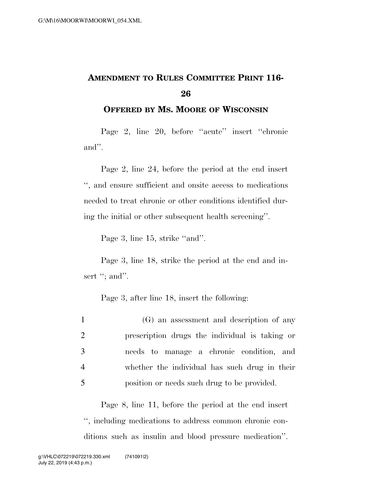## **AMENDMENT TO RULES COMMITTEE PRINT 116- 26**

**OFFERED BY MS. MOORE OF WISCONSIN**

Page 2, line 20, before ''acute'' insert ''chronic and''.

Page 2, line 24, before the period at the end insert '', and ensure sufficient and onsite access to medications needed to treat chronic or other conditions identified during the initial or other subsequent health screening''.

Page 3, line 15, strike "and".

Page 3, line 18, strike the period at the end and insert "; and".

Page 3, after line 18, insert the following:

| $\mathbf{1}$   | (G) an assessment and description of any       |
|----------------|------------------------------------------------|
| 2              | prescription drugs the individual is taking or |
| 3              | needs to manage a chronic condition, and       |
| $\overline{4}$ | whether the individual has such drug in their  |
| 5              | position or needs such drug to be provided.    |

Page 8, line 11, before the period at the end insert '', including medications to address common chronic conditions such as insulin and blood pressure medication''.